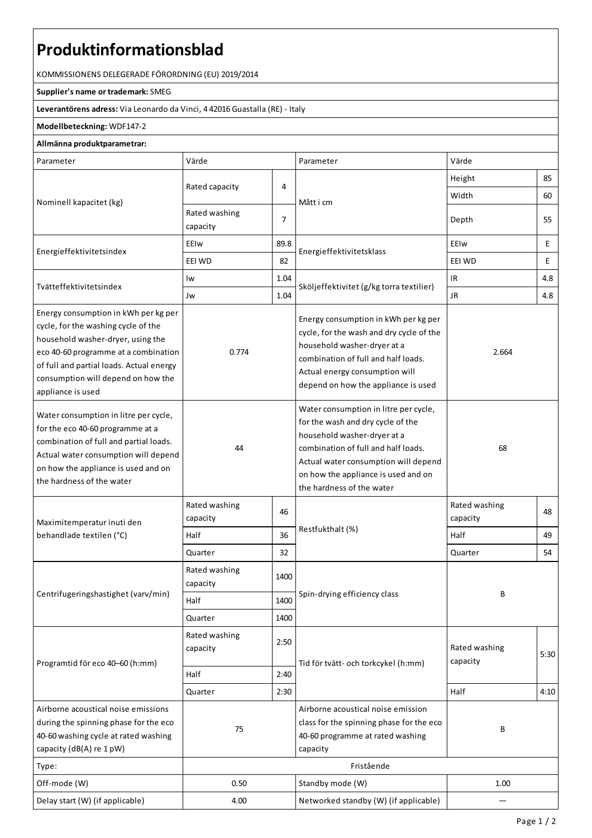# **Produktinformationsblad**

KOMMISSIONENS DELEGERADEFÖRORDNING (EU) 2019/2014

### **Supplier's name or trademark:**SMEG

**Leverantörens adress:** ViaLeonardo da Vinci, 4 42016 Guastalla(RE) - Italy

## **Modellbeteckning:** WDF147-2

### **Allmänna produktparametrar:**

| Parameter                                                                                                                                                                                                                                                       | Värde                     |                | Parameter                                                                                                                                                                                                                                                    | Värde                             |      |
|-----------------------------------------------------------------------------------------------------------------------------------------------------------------------------------------------------------------------------------------------------------------|---------------------------|----------------|--------------------------------------------------------------------------------------------------------------------------------------------------------------------------------------------------------------------------------------------------------------|-----------------------------------|------|
| Nominell kapacitet (kg)                                                                                                                                                                                                                                         |                           |                |                                                                                                                                                                                                                                                              | Height                            | 85   |
|                                                                                                                                                                                                                                                                 | Rated capacity            | 4              | Mått i cm                                                                                                                                                                                                                                                    | Width                             | 60   |
|                                                                                                                                                                                                                                                                 | Rated washing<br>capacity | $\overline{7}$ |                                                                                                                                                                                                                                                              | Depth                             | 55   |
| Energieffektivitetsindex                                                                                                                                                                                                                                        | EEIw                      | 89.8           |                                                                                                                                                                                                                                                              | EEIw                              | E    |
|                                                                                                                                                                                                                                                                 | EEI WD                    | 82             | Energieffektivitetsklass                                                                                                                                                                                                                                     | EEI WD                            | E    |
| Tvätteffektivitetsindex                                                                                                                                                                                                                                         | Iw                        | 1.04           |                                                                                                                                                                                                                                                              | $\ensuremath{\mathsf{IR}}\xspace$ | 4.8  |
|                                                                                                                                                                                                                                                                 | Jw                        | 1.04           | Sköljeffektivitet (g/kg torra textilier)                                                                                                                                                                                                                     | <b>JR</b>                         | 4.8  |
| Energy consumption in kWh per kg per<br>cycle, for the washing cycle of the<br>household washer-dryer, using the<br>eco 40-60 programme at a combination<br>of full and partial loads. Actual energy<br>consumption will depend on how the<br>appliance is used | 0.774                     |                | Energy consumption in kWh per kg per<br>cycle, for the wash and dry cycle of the<br>household washer-dryer at a<br>combination of full and half loads.<br>Actual energy consumption will<br>depend on how the appliance is used                              | 2.664                             |      |
| Water consumption in litre per cycle,<br>for the eco 40-60 programme at a<br>combination of full and partial loads.<br>Actual water consumption will depend<br>on how the appliance is used and on<br>the hardness of the water                                 | 44                        |                | Water consumption in litre per cycle,<br>for the wash and dry cycle of the<br>household washer-dryer at a<br>combination of full and half loads.<br>Actual water consumption will depend<br>on how the appliance is used and on<br>the hardness of the water | 68                                |      |
| Maximitemperatur inuti den<br>behandlade textilen (°C)                                                                                                                                                                                                          | Rated washing<br>capacity | 46             |                                                                                                                                                                                                                                                              | Rated washing<br>capacity         | 48   |
|                                                                                                                                                                                                                                                                 | Half<br>36                |                | Restfukthalt (%)                                                                                                                                                                                                                                             | Half                              | 49   |
|                                                                                                                                                                                                                                                                 | Quarter                   | 32             |                                                                                                                                                                                                                                                              | Quarter                           | 54   |
| Centrifugeringshastighet (varv/min)                                                                                                                                                                                                                             | Rated washing<br>capacity | 1400           |                                                                                                                                                                                                                                                              | В                                 |      |
|                                                                                                                                                                                                                                                                 | Half                      | 1400           | Spin-drying efficiency class                                                                                                                                                                                                                                 |                                   |      |
|                                                                                                                                                                                                                                                                 | Quarter                   | 1400           |                                                                                                                                                                                                                                                              |                                   |      |
| Programtid för eco 40-60 (h:mm)                                                                                                                                                                                                                                 | Rated washing<br>capacity | 2:50           | Tid för tvätt- och torkcykel (h:mm)                                                                                                                                                                                                                          | Rated washing<br>capacity         | 5:30 |
|                                                                                                                                                                                                                                                                 | Half<br>2:40              |                |                                                                                                                                                                                                                                                              |                                   |      |
|                                                                                                                                                                                                                                                                 | Quarter                   | 2:30           |                                                                                                                                                                                                                                                              | Half                              | 4:10 |
| Airborne acoustical noise emissions<br>during the spinning phase for the eco<br>40-60 washing cycle at rated washing<br>capacity (dB(A) re 1 pW)                                                                                                                | 75                        |                | Airborne acoustical noise emission<br>class for the spinning phase for the eco<br>40-60 programme at rated washing<br>capacity                                                                                                                               | В                                 |      |
| Type:                                                                                                                                                                                                                                                           | Fristående                |                |                                                                                                                                                                                                                                                              |                                   |      |
| Off-mode (W)                                                                                                                                                                                                                                                    | 0.50                      |                | Standby mode (W)                                                                                                                                                                                                                                             | 1.00                              |      |
| Delay start (W) (if applicable)                                                                                                                                                                                                                                 | 4.00                      |                | Networked standby (W) (if applicable)                                                                                                                                                                                                                        |                                   |      |